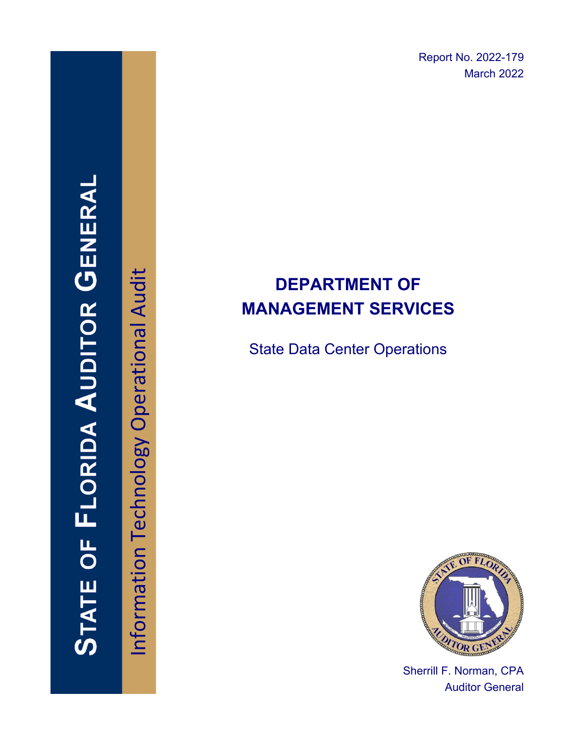Report No. 2022-179 March 2022

# **DEPARTMENT OF MANAGEMENT SERVICES**

State Data Center Operations



Sherrill F. Norman, CPA Auditor General

Information Technology Operational Audit Information Technology Operational Audit

**STATE OF FLORIDA AUDITOR GENERAI**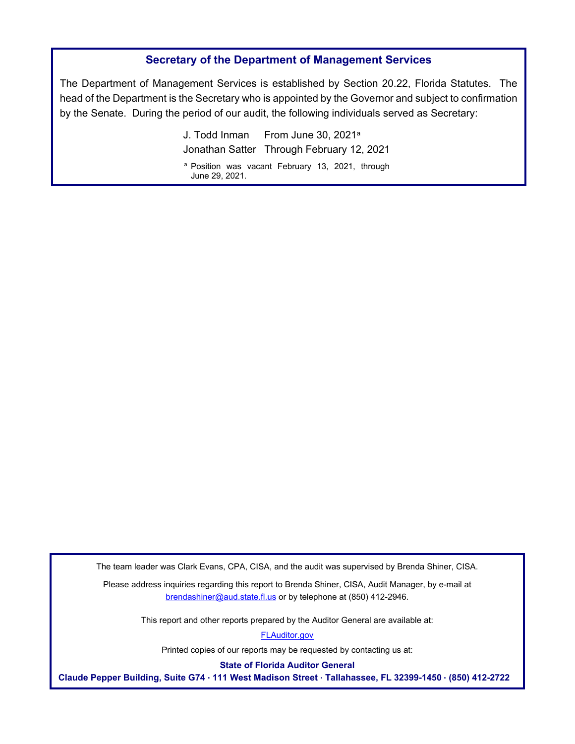### **Secretary of the Department of Management Services**

The Department of Management Services is established by Section 20.22, Florida Statutes. The head of the Department is the Secretary who is appointed by the Governor and subject to confirmation by the Senate. During the period of our audit, the following individuals served as Secretary:

> J. Todd Inman From June 30, 2021a Jonathan Satter Through February 12, 2021 a Position was vacant February 13, 2021, through

June 29, 2021.

The team leader was Clark Evans, CPA, CISA, and the audit was supervised by Brenda Shiner, CISA.

Please address inquiries regarding this report to Brenda Shiner, CISA, Audit Manager, by e-mail at brendashiner@aud.state.fl.us or by telephone at (850) 412-2946.

This report and other reports prepared by the Auditor General are available at:

[FLAuditor.gov](http://flauditor.gov/) 

Printed copies of our reports may be requested by contacting us at:

**State of Florida Auditor General** 

**Claude Pepper Building, Suite G74 · 111 West Madison Street · Tallahassee, FL 32399-1450 · (850) 412-2722**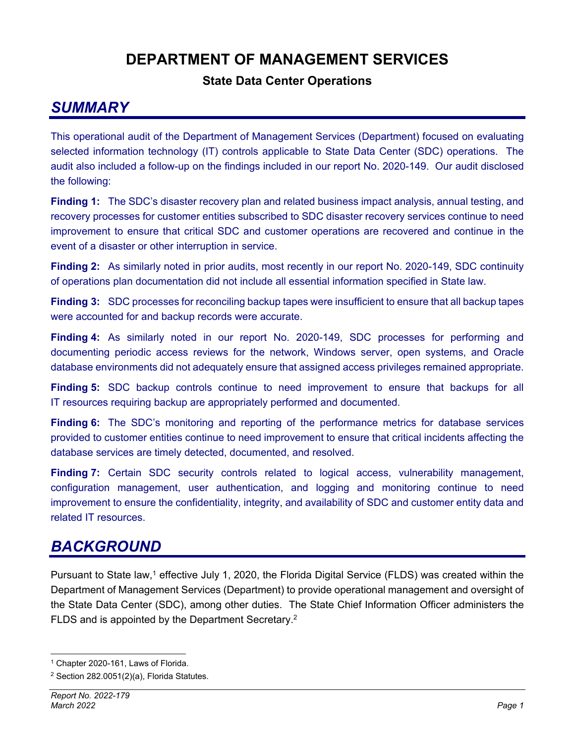## **DEPARTMENT OF MANAGEMENT SERVICES**

## **State Data Center Operations**

## *SUMMARY*

This operational audit of the Department of Management Services (Department) focused on evaluating selected information technology (IT) controls applicable to State Data Center (SDC) operations. The audit also included a follow-up on the findings included in our report No. 2020-149. Our audit disclosed the following:

**Finding 1:** The SDC's disaster recovery plan and related business impact analysis, annual testing, and recovery processes for customer entities subscribed to SDC disaster recovery services continue to need improvement to ensure that critical SDC and customer operations are recovered and continue in the event of a disaster or other interruption in service.

**Finding 2:** As similarly noted in prior audits, most recently in our report No. 2020-149, SDC continuity of operations plan documentation did not include all essential information specified in State law.

**Finding 3:** SDC processes for reconciling backup tapes were insufficient to ensure that all backup tapes were accounted for and backup records were accurate.

**Finding 4:** As similarly noted in our report No. 2020-149, SDC processes for performing and documenting periodic access reviews for the network, Windows server, open systems, and Oracle database environments did not adequately ensure that assigned access privileges remained appropriate.

**Finding 5:** SDC backup controls continue to need improvement to ensure that backups for all IT resources requiring backup are appropriately performed and documented.

**Finding 6:** The SDC's monitoring and reporting of the performance metrics for database services provided to customer entities continue to need improvement to ensure that critical incidents affecting the database services are timely detected, documented, and resolved.

**Finding 7:** Certain SDC security controls related to logical access, vulnerability management, configuration management, user authentication, and logging and monitoring continue to need improvement to ensure the confidentiality, integrity, and availability of SDC and customer entity data and related IT resources.

## *BACKGROUND*

Pursuant to State law,<sup>1</sup> effective July 1, 2020, the Florida Digital Service (FLDS) was created within the Department of Management Services (Department) to provide operational management and oversight of the State Data Center (SDC), among other duties. The State Chief Information Officer administers the FLDS and is appointed by the Department Secretary.2

<sup>1</sup> Chapter 2020-161, Laws of Florida.

 $2$  Section 282.0051(2)(a), Florida Statutes.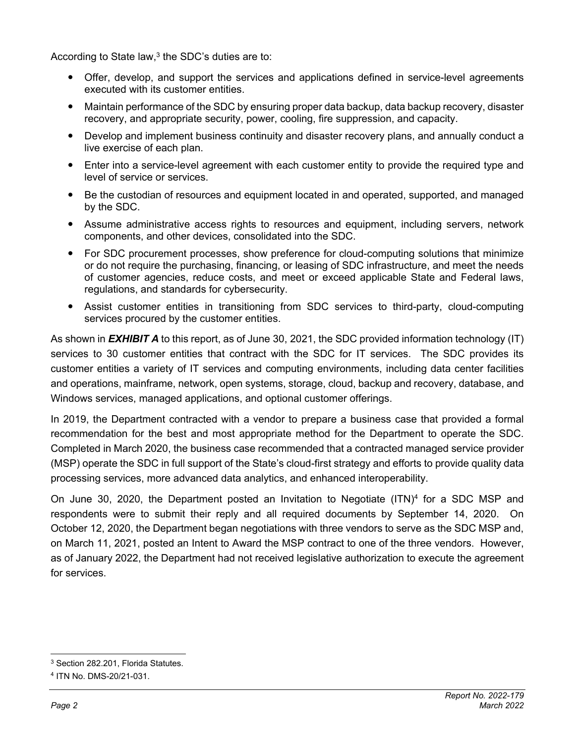According to State law,<sup>3</sup> the SDC's duties are to:

- Offer, develop, and support the services and applications defined in service-level agreements executed with its customer entities.
- Maintain performance of the SDC by ensuring proper data backup, data backup recovery, disaster recovery, and appropriate security, power, cooling, fire suppression, and capacity.
- Develop and implement business continuity and disaster recovery plans, and annually conduct a live exercise of each plan.
- Enter into a service-level agreement with each customer entity to provide the required type and level of service or services.
- Be the custodian of resources and equipment located in and operated, supported, and managed by the SDC.
- Assume administrative access rights to resources and equipment, including servers, network components, and other devices, consolidated into the SDC.
- For SDC procurement processes, show preference for cloud-computing solutions that minimize or do not require the purchasing, financing, or leasing of SDC infrastructure, and meet the needs of customer agencies, reduce costs, and meet or exceed applicable State and Federal laws, regulations, and standards for cybersecurity.
- Assist customer entities in transitioning from SDC services to third-party, cloud-computing services procured by the customer entities.

As shown in *EXHIBIT A* to this report, as of June 30, 2021, the SDC provided information technology (IT) services to 30 customer entities that contract with the SDC for IT services. The SDC provides its customer entities a variety of IT services and computing environments, including data center facilities and operations, mainframe, network, open systems, storage, cloud, backup and recovery, database, and Windows services, managed applications, and optional customer offerings.

In 2019, the Department contracted with a vendor to prepare a business case that provided a formal recommendation for the best and most appropriate method for the Department to operate the SDC. Completed in March 2020, the business case recommended that a contracted managed service provider (MSP) operate the SDC in full support of the State's cloud-first strategy and efforts to provide quality data processing services, more advanced data analytics, and enhanced interoperability.

On June 30, 2020, the Department posted an Invitation to Negotiate  $(ITN)^4$  for a SDC MSP and respondents were to submit their reply and all required documents by September 14, 2020. On October 12, 2020, the Department began negotiations with three vendors to serve as the SDC MSP and, on March 11, 2021, posted an Intent to Award the MSP contract to one of the three vendors. However, as of January 2022, the Department had not received legislative authorization to execute the agreement for services.

<sup>3</sup> Section 282.201, Florida Statutes.

<sup>4</sup> ITN No. DMS-20/21-031.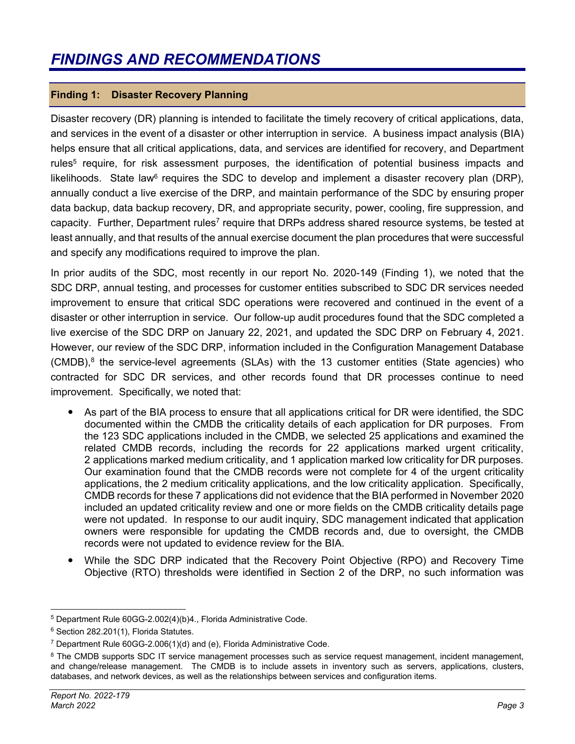## **Finding 1: Disaster Recovery Planning**

Disaster recovery (DR) planning is intended to facilitate the timely recovery of critical applications, data, and services in the event of a disaster or other interruption in service. A business impact analysis (BIA) helps ensure that all critical applications, data, and services are identified for recovery, and Department rules<sup>5</sup> require, for risk assessment purposes, the identification of potential business impacts and likelihoods. State law<sup>6</sup> requires the SDC to develop and implement a disaster recovery plan (DRP), annually conduct a live exercise of the DRP, and maintain performance of the SDC by ensuring proper data backup, data backup recovery, DR, and appropriate security, power, cooling, fire suppression, and capacity. Further, Department rules<sup>7</sup> require that DRPs address shared resource systems, be tested at least annually, and that results of the annual exercise document the plan procedures that were successful and specify any modifications required to improve the plan.

In prior audits of the SDC, most recently in our report No. 2020-149 (Finding 1), we noted that the SDC DRP, annual testing, and processes for customer entities subscribed to SDC DR services needed improvement to ensure that critical SDC operations were recovered and continued in the event of a disaster or other interruption in service. Our follow-up audit procedures found that the SDC completed a live exercise of the SDC DRP on January 22, 2021, and updated the SDC DRP on February 4, 2021. However, our review of the SDC DRP, information included in the Configuration Management Database (CMDB),<sup>8</sup> the service-level agreements (SLAs) with the 13 customer entities (State agencies) who contracted for SDC DR services, and other records found that DR processes continue to need improvement. Specifically, we noted that:

- As part of the BIA process to ensure that all applications critical for DR were identified, the SDC documented within the CMDB the criticality details of each application for DR purposes. From the 123 SDC applications included in the CMDB, we selected 25 applications and examined the related CMDB records, including the records for 22 applications marked urgent criticality, 2 applications marked medium criticality, and 1 application marked low criticality for DR purposes. Our examination found that the CMDB records were not complete for 4 of the urgent criticality applications, the 2 medium criticality applications, and the low criticality application. Specifically, CMDB records for these 7 applications did not evidence that the BIA performed in November 2020 included an updated criticality review and one or more fields on the CMDB criticality details page were not updated. In response to our audit inquiry, SDC management indicated that application owners were responsible for updating the CMDB records and, due to oversight, the CMDB records were not updated to evidence review for the BIA.
- While the SDC DRP indicated that the Recovery Point Objective (RPO) and Recovery Time Objective (RTO) thresholds were identified in Section 2 of the DRP, no such information was

<sup>5</sup> Department Rule 60GG-2.002(4)(b)4., Florida Administrative Code.

<sup>6</sup> Section 282.201(1), Florida Statutes.

<sup>7</sup> Department Rule 60GG-2.006(1)(d) and (e), Florida Administrative Code.

<sup>&</sup>lt;sup>8</sup> The CMDB supports SDC IT service management processes such as service request management, incident management, and change/release management. The CMDB is to include assets in inventory such as servers, applications, clusters, databases, and network devices, as well as the relationships between services and configuration items.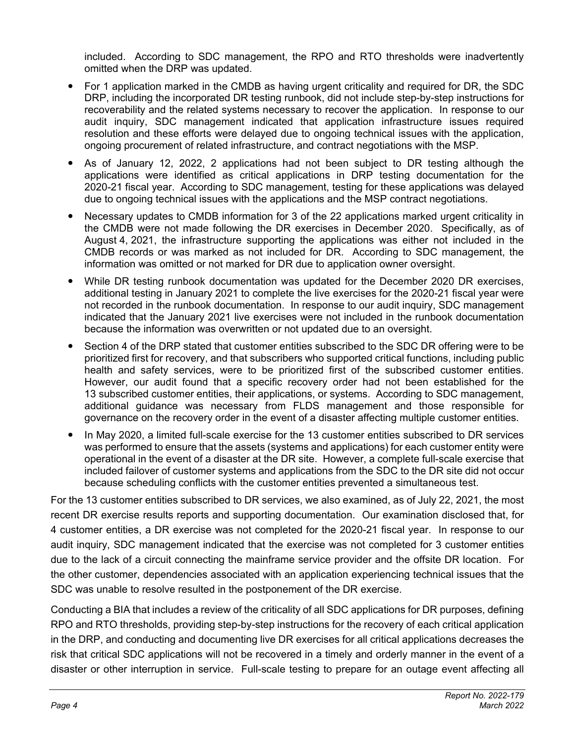included. According to SDC management, the RPO and RTO thresholds were inadvertently omitted when the DRP was updated.

- For 1 application marked in the CMDB as having urgent criticality and required for DR, the SDC DRP, including the incorporated DR testing runbook, did not include step-by-step instructions for recoverability and the related systems necessary to recover the application. In response to our audit inquiry, SDC management indicated that application infrastructure issues required resolution and these efforts were delayed due to ongoing technical issues with the application, ongoing procurement of related infrastructure, and contract negotiations with the MSP.
- As of January 12, 2022, 2 applications had not been subject to DR testing although the applications were identified as critical applications in DRP testing documentation for the 2020-21 fiscal year. According to SDC management, testing for these applications was delayed due to ongoing technical issues with the applications and the MSP contract negotiations.
- Necessary updates to CMDB information for 3 of the 22 applications marked urgent criticality in the CMDB were not made following the DR exercises in December 2020. Specifically, as of August 4, 2021, the infrastructure supporting the applications was either not included in the CMDB records or was marked as not included for DR. According to SDC management, the information was omitted or not marked for DR due to application owner oversight.
- While DR testing runbook documentation was updated for the December 2020 DR exercises, additional testing in January 2021 to complete the live exercises for the 2020-21 fiscal year were not recorded in the runbook documentation. In response to our audit inquiry, SDC management indicated that the January 2021 live exercises were not included in the runbook documentation because the information was overwritten or not updated due to an oversight.
- Section 4 of the DRP stated that customer entities subscribed to the SDC DR offering were to be prioritized first for recovery, and that subscribers who supported critical functions, including public health and safety services, were to be prioritized first of the subscribed customer entities. However, our audit found that a specific recovery order had not been established for the 13 subscribed customer entities, their applications, or systems. According to SDC management, additional guidance was necessary from FLDS management and those responsible for governance on the recovery order in the event of a disaster affecting multiple customer entities.
- In May 2020, a limited full-scale exercise for the 13 customer entities subscribed to DR services was performed to ensure that the assets (systems and applications) for each customer entity were operational in the event of a disaster at the DR site. However, a complete full-scale exercise that included failover of customer systems and applications from the SDC to the DR site did not occur because scheduling conflicts with the customer entities prevented a simultaneous test.

For the 13 customer entities subscribed to DR services, we also examined, as of July 22, 2021, the most recent DR exercise results reports and supporting documentation. Our examination disclosed that, for 4 customer entities, a DR exercise was not completed for the 2020-21 fiscal year. In response to our audit inquiry, SDC management indicated that the exercise was not completed for 3 customer entities due to the lack of a circuit connecting the mainframe service provider and the offsite DR location. For the other customer, dependencies associated with an application experiencing technical issues that the SDC was unable to resolve resulted in the postponement of the DR exercise.

Conducting a BIA that includes a review of the criticality of all SDC applications for DR purposes, defining RPO and RTO thresholds, providing step-by-step instructions for the recovery of each critical application in the DRP, and conducting and documenting live DR exercises for all critical applications decreases the risk that critical SDC applications will not be recovered in a timely and orderly manner in the event of a disaster or other interruption in service. Full-scale testing to prepare for an outage event affecting all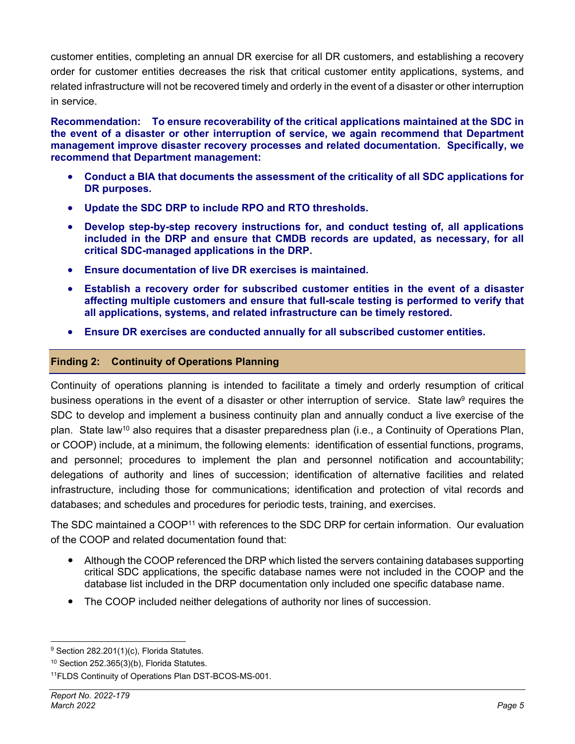customer entities, completing an annual DR exercise for all DR customers, and establishing a recovery order for customer entities decreases the risk that critical customer entity applications, systems, and related infrastructure will not be recovered timely and orderly in the event of a disaster or other interruption in service.

**Recommendation: To ensure recoverability of the critical applications maintained at the SDC in the event of a disaster or other interruption of service, we again recommend that Department management improve disaster recovery processes and related documentation. Specifically, we recommend that Department management:** 

- **Conduct a BIA that documents the assessment of the criticality of all SDC applications for DR purposes.**
- **Update the SDC DRP to include RPO and RTO thresholds.**
- **Develop step-by-step recovery instructions for, and conduct testing of, all applications included in the DRP and ensure that CMDB records are updated, as necessary, for all critical SDC-managed applications in the DRP.**
- **Ensure documentation of live DR exercises is maintained.**
- **Establish a recovery order for subscribed customer entities in the event of a disaster affecting multiple customers and ensure that full-scale testing is performed to verify that all applications, systems, and related infrastructure can be timely restored.**
- **Ensure DR exercises are conducted annually for all subscribed customer entities.**

## **Finding 2: Continuity of Operations Planning**

Continuity of operations planning is intended to facilitate a timely and orderly resumption of critical business operations in the event of a disaster or other interruption of service. State law<sup>9</sup> requires the SDC to develop and implement a business continuity plan and annually conduct a live exercise of the plan. State law<sup>10</sup> also requires that a disaster preparedness plan (i.e., a Continuity of Operations Plan, or COOP) include, at a minimum, the following elements: identification of essential functions, programs, and personnel; procedures to implement the plan and personnel notification and accountability; delegations of authority and lines of succession; identification of alternative facilities and related infrastructure, including those for communications; identification and protection of vital records and databases; and schedules and procedures for periodic tests, training, and exercises.

The SDC maintained a COOP<sup>11</sup> with references to the SDC DRP for certain information. Our evaluation of the COOP and related documentation found that:

- Although the COOP referenced the DRP which listed the servers containing databases supporting critical SDC applications, the specific database names were not included in the COOP and the database list included in the DRP documentation only included one specific database name.
- The COOP included neither delegations of authority nor lines of succession.

<sup>&</sup>lt;sup>9</sup> Section 282.201(1)(c), Florida Statutes.

 $10$  Section 252.365(3)(b), Florida Statutes.

<sup>11</sup>FLDS Continuity of Operations Plan DST-BCOS-MS-001.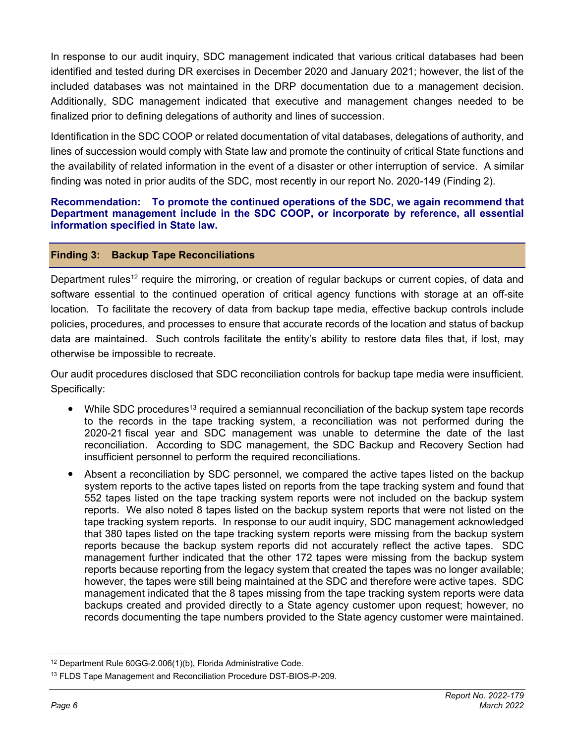In response to our audit inquiry, SDC management indicated that various critical databases had been identified and tested during DR exercises in December 2020 and January 2021; however, the list of the included databases was not maintained in the DRP documentation due to a management decision. Additionally, SDC management indicated that executive and management changes needed to be finalized prior to defining delegations of authority and lines of succession.

Identification in the SDC COOP or related documentation of vital databases, delegations of authority, and lines of succession would comply with State law and promote the continuity of critical State functions and the availability of related information in the event of a disaster or other interruption of service. A similar finding was noted in prior audits of the SDC, most recently in our report No. 2020-149 (Finding 2).

### **Recommendation: To promote the continued operations of the SDC, we again recommend that Department management include in the SDC COOP, or incorporate by reference, all essential information specified in State law.**

### **Finding 3: Backup Tape Reconciliations**

Department rules<sup>12</sup> require the mirroring, or creation of regular backups or current copies, of data and software essential to the continued operation of critical agency functions with storage at an off-site location. To facilitate the recovery of data from backup tape media, effective backup controls include policies, procedures, and processes to ensure that accurate records of the location and status of backup data are maintained. Such controls facilitate the entity's ability to restore data files that, if lost, may otherwise be impossible to recreate.

Our audit procedures disclosed that SDC reconciliation controls for backup tape media were insufficient. Specifically:

- While SDC procedures<sup>13</sup> required a semiannual reconciliation of the backup system tape records to the records in the tape tracking system, a reconciliation was not performed during the 2020-21 fiscal year and SDC management was unable to determine the date of the last reconciliation. According to SDC management, the SDC Backup and Recovery Section had insufficient personnel to perform the required reconciliations.
- Absent a reconciliation by SDC personnel, we compared the active tapes listed on the backup system reports to the active tapes listed on reports from the tape tracking system and found that 552 tapes listed on the tape tracking system reports were not included on the backup system reports. We also noted 8 tapes listed on the backup system reports that were not listed on the tape tracking system reports. In response to our audit inquiry, SDC management acknowledged that 380 tapes listed on the tape tracking system reports were missing from the backup system reports because the backup system reports did not accurately reflect the active tapes. SDC management further indicated that the other 172 tapes were missing from the backup system reports because reporting from the legacy system that created the tapes was no longer available; however, the tapes were still being maintained at the SDC and therefore were active tapes. SDC management indicated that the 8 tapes missing from the tape tracking system reports were data backups created and provided directly to a State agency customer upon request; however, no records documenting the tape numbers provided to the State agency customer were maintained.

<sup>12</sup> Department Rule 60GG-2.006(1)(b), Florida Administrative Code.

<sup>&</sup>lt;sup>13</sup> FLDS Tape Management and Reconciliation Procedure DST-BIOS-P-209.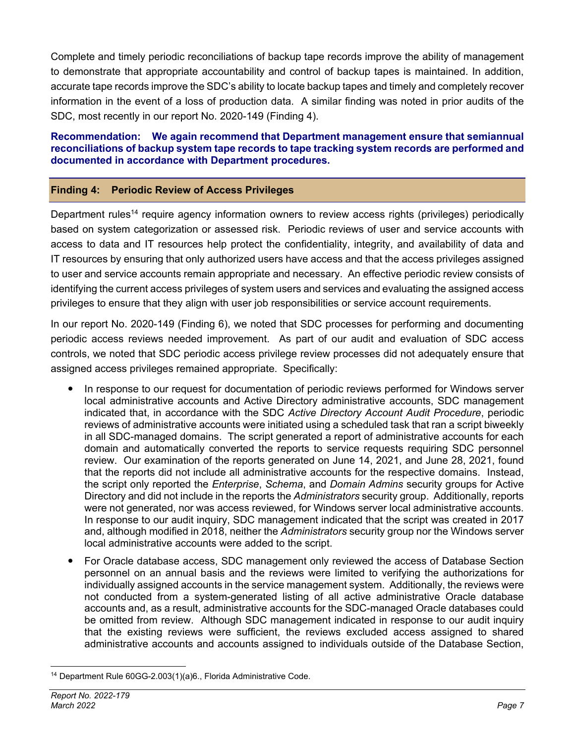Complete and timely periodic reconciliations of backup tape records improve the ability of management to demonstrate that appropriate accountability and control of backup tapes is maintained. In addition, accurate tape records improve the SDC's ability to locate backup tapes and timely and completely recover information in the event of a loss of production data. A similar finding was noted in prior audits of the SDC, most recently in our report No. 2020-149 (Finding 4).

### **Recommendation: We again recommend that Department management ensure that semiannual reconciliations of backup system tape records to tape tracking system records are performed and documented in accordance with Department procedures.**

## **Finding 4: Periodic Review of Access Privileges**

Department rules<sup>14</sup> require agency information owners to review access rights (privileges) periodically based on system categorization or assessed risk. Periodic reviews of user and service accounts with access to data and IT resources help protect the confidentiality, integrity, and availability of data and IT resources by ensuring that only authorized users have access and that the access privileges assigned to user and service accounts remain appropriate and necessary. An effective periodic review consists of identifying the current access privileges of system users and services and evaluating the assigned access privileges to ensure that they align with user job responsibilities or service account requirements.

In our report No. 2020-149 (Finding 6), we noted that SDC processes for performing and documenting periodic access reviews needed improvement. As part of our audit and evaluation of SDC access controls, we noted that SDC periodic access privilege review processes did not adequately ensure that assigned access privileges remained appropriate. Specifically:

- In response to our request for documentation of periodic reviews performed for Windows server local administrative accounts and Active Directory administrative accounts, SDC management indicated that, in accordance with the SDC *Active Directory Account Audit Procedure*, periodic reviews of administrative accounts were initiated using a scheduled task that ran a script biweekly in all SDC-managed domains. The script generated a report of administrative accounts for each domain and automatically converted the reports to service requests requiring SDC personnel review. Our examination of the reports generated on June 14, 2021, and June 28, 2021, found that the reports did not include all administrative accounts for the respective domains. Instead, the script only reported the *Enterprise*, *Schema*, and *Domain Admins* security groups for Active Directory and did not include in the reports the *Administrators* security group. Additionally, reports were not generated, nor was access reviewed, for Windows server local administrative accounts. In response to our audit inquiry, SDC management indicated that the script was created in 2017 and, although modified in 2018, neither the *Administrators* security group nor the Windows server local administrative accounts were added to the script.
- For Oracle database access, SDC management only reviewed the access of Database Section personnel on an annual basis and the reviews were limited to verifying the authorizations for individually assigned accounts in the service management system. Additionally, the reviews were not conducted from a system-generated listing of all active administrative Oracle database accounts and, as a result, administrative accounts for the SDC-managed Oracle databases could be omitted from review. Although SDC management indicated in response to our audit inquiry that the existing reviews were sufficient, the reviews excluded access assigned to shared administrative accounts and accounts assigned to individuals outside of the Database Section,

<sup>14</sup> Department Rule 60GG-2.003(1)(a)6., Florida Administrative Code.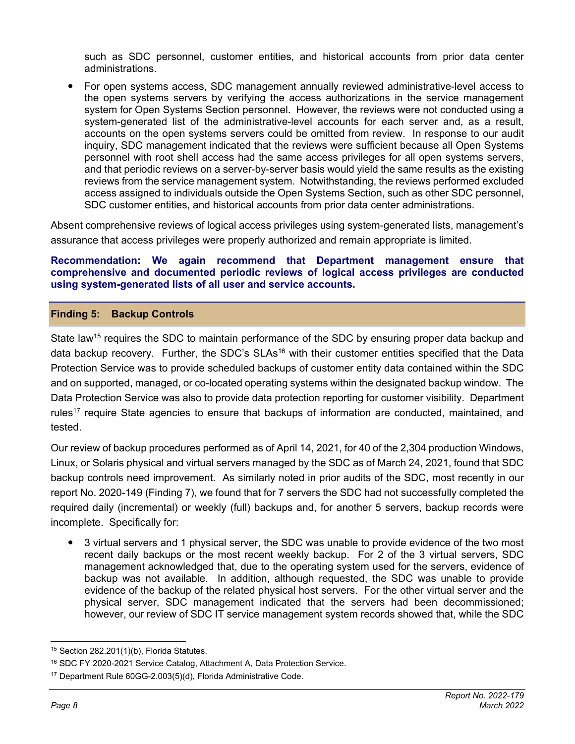such as SDC personnel, customer entities, and historical accounts from prior data center administrations.

 For open systems access, SDC management annually reviewed administrative-level access to the open systems servers by verifying the access authorizations in the service management system for Open Systems Section personnel. However, the reviews were not conducted using a system-generated list of the administrative-level accounts for each server and, as a result, accounts on the open systems servers could be omitted from review. In response to our audit inquiry, SDC management indicated that the reviews were sufficient because all Open Systems personnel with root shell access had the same access privileges for all open systems servers, and that periodic reviews on a server-by-server basis would yield the same results as the existing reviews from the service management system. Notwithstanding, the reviews performed excluded access assigned to individuals outside the Open Systems Section, such as other SDC personnel, SDC customer entities, and historical accounts from prior data center administrations.

Absent comprehensive reviews of logical access privileges using system-generated lists, management's assurance that access privileges were properly authorized and remain appropriate is limited.

### **Recommendation: We again recommend that Department management ensure that comprehensive and documented periodic reviews of logical access privileges are conducted using system-generated lists of all user and service accounts.**

## **Finding 5: Backup Controls**

State law<sup>15</sup> requires the SDC to maintain performance of the SDC by ensuring proper data backup and data backup recovery. Further, the SDC's  $SLAs^{16}$  with their customer entities specified that the Data Protection Service was to provide scheduled backups of customer entity data contained within the SDC and on supported, managed, or co-located operating systems within the designated backup window. The Data Protection Service was also to provide data protection reporting for customer visibility. Department rules<sup>17</sup> require State agencies to ensure that backups of information are conducted, maintained, and tested.

Our review of backup procedures performed as of April 14, 2021, for 40 of the 2,304 production Windows, Linux, or Solaris physical and virtual servers managed by the SDC as of March 24, 2021, found that SDC backup controls need improvement. As similarly noted in prior audits of the SDC, most recently in our report No. 2020-149 (Finding 7), we found that for 7 servers the SDC had not successfully completed the required daily (incremental) or weekly (full) backups and, for another 5 servers, backup records were incomplete. Specifically for:

 3 virtual servers and 1 physical server, the SDC was unable to provide evidence of the two most recent daily backups or the most recent weekly backup. For 2 of the 3 virtual servers, SDC management acknowledged that, due to the operating system used for the servers, evidence of backup was not available. In addition, although requested, the SDC was unable to provide evidence of the backup of the related physical host servers. For the other virtual server and the physical server, SDC management indicated that the servers had been decommissioned; however, our review of SDC IT service management system records showed that, while the SDC

<sup>15</sup> Section 282.201(1)(b), Florida Statutes.

<sup>16</sup> SDC FY 2020-2021 Service Catalog, Attachment A, Data Protection Service.

<sup>17</sup> Department Rule 60GG-2.003(5)(d), Florida Administrative Code.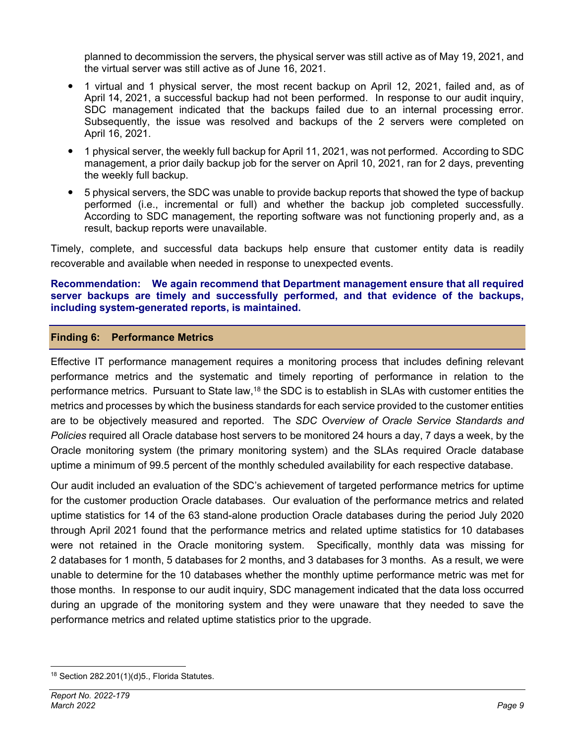planned to decommission the servers, the physical server was still active as of May 19, 2021, and the virtual server was still active as of June 16, 2021.

- 1 virtual and 1 physical server, the most recent backup on April 12, 2021, failed and, as of April 14, 2021, a successful backup had not been performed. In response to our audit inquiry, SDC management indicated that the backups failed due to an internal processing error. Subsequently, the issue was resolved and backups of the 2 servers were completed on April 16, 2021.
- 1 physical server, the weekly full backup for April 11, 2021, was not performed. According to SDC management, a prior daily backup job for the server on April 10, 2021, ran for 2 days, preventing the weekly full backup.
- 5 physical servers, the SDC was unable to provide backup reports that showed the type of backup performed (i.e., incremental or full) and whether the backup job completed successfully. According to SDC management, the reporting software was not functioning properly and, as a result, backup reports were unavailable.

Timely, complete, and successful data backups help ensure that customer entity data is readily recoverable and available when needed in response to unexpected events.

### **Recommendation: We again recommend that Department management ensure that all required server backups are timely and successfully performed, and that evidence of the backups, including system-generated reports, is maintained.**

### **Finding 6: Performance Metrics**

Effective IT performance management requires a monitoring process that includes defining relevant performance metrics and the systematic and timely reporting of performance in relation to the performance metrics. Pursuant to State law,18 the SDC is to establish in SLAs with customer entities the metrics and processes by which the business standards for each service provided to the customer entities are to be objectively measured and reported. The *SDC Overview of Oracle Service Standards and Policies* required all Oracle database host servers to be monitored 24 hours a day, 7 days a week, by the Oracle monitoring system (the primary monitoring system) and the SLAs required Oracle database uptime a minimum of 99.5 percent of the monthly scheduled availability for each respective database.

Our audit included an evaluation of the SDC's achievement of targeted performance metrics for uptime for the customer production Oracle databases. Our evaluation of the performance metrics and related uptime statistics for 14 of the 63 stand-alone production Oracle databases during the period July 2020 through April 2021 found that the performance metrics and related uptime statistics for 10 databases were not retained in the Oracle monitoring system. Specifically, monthly data was missing for 2 databases for 1 month, 5 databases for 2 months, and 3 databases for 3 months. As a result, we were unable to determine for the 10 databases whether the monthly uptime performance metric was met for those months. In response to our audit inquiry, SDC management indicated that the data loss occurred during an upgrade of the monitoring system and they were unaware that they needed to save the performance metrics and related uptime statistics prior to the upgrade.

<sup>18</sup> Section 282.201(1)(d)5., Florida Statutes.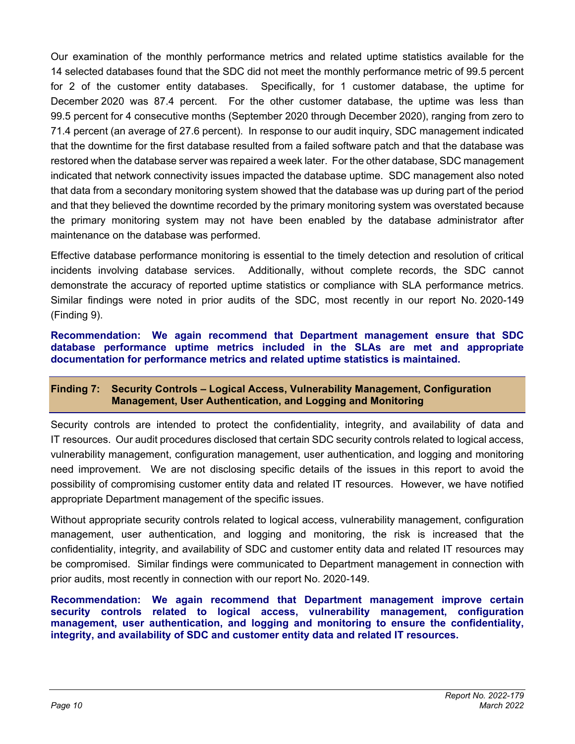Our examination of the monthly performance metrics and related uptime statistics available for the 14 selected databases found that the SDC did not meet the monthly performance metric of 99.5 percent for 2 of the customer entity databases. Specifically, for 1 customer database, the uptime for December 2020 was 87.4 percent. For the other customer database, the uptime was less than 99.5 percent for 4 consecutive months (September 2020 through December 2020), ranging from zero to 71.4 percent (an average of 27.6 percent). In response to our audit inquiry, SDC management indicated that the downtime for the first database resulted from a failed software patch and that the database was restored when the database server was repaired a week later. For the other database, SDC management indicated that network connectivity issues impacted the database uptime. SDC management also noted that data from a secondary monitoring system showed that the database was up during part of the period and that they believed the downtime recorded by the primary monitoring system was overstated because the primary monitoring system may not have been enabled by the database administrator after maintenance on the database was performed.

Effective database performance monitoring is essential to the timely detection and resolution of critical incidents involving database services. Additionally, without complete records, the SDC cannot demonstrate the accuracy of reported uptime statistics or compliance with SLA performance metrics. Similar findings were noted in prior audits of the SDC, most recently in our report No. 2020-149 (Finding 9).

**Recommendation: We again recommend that Department management ensure that SDC database performance uptime metrics included in the SLAs are met and appropriate documentation for performance metrics and related uptime statistics is maintained.** 

## **Finding 7: Security Controls – Logical Access, Vulnerability Management, Configuration Management, User Authentication, and Logging and Monitoring**

Security controls are intended to protect the confidentiality, integrity, and availability of data and IT resources. Our audit procedures disclosed that certain SDC security controls related to logical access, vulnerability management, configuration management, user authentication, and logging and monitoring need improvement. We are not disclosing specific details of the issues in this report to avoid the possibility of compromising customer entity data and related IT resources. However, we have notified appropriate Department management of the specific issues.

Without appropriate security controls related to logical access, vulnerability management, configuration management, user authentication, and logging and monitoring, the risk is increased that the confidentiality, integrity, and availability of SDC and customer entity data and related IT resources may be compromised. Similar findings were communicated to Department management in connection with prior audits, most recently in connection with our report No. 2020-149.

**Recommendation: We again recommend that Department management improve certain security controls related to logical access, vulnerability management, configuration management, user authentication, and logging and monitoring to ensure the confidentiality, integrity, and availability of SDC and customer entity data and related IT resources.**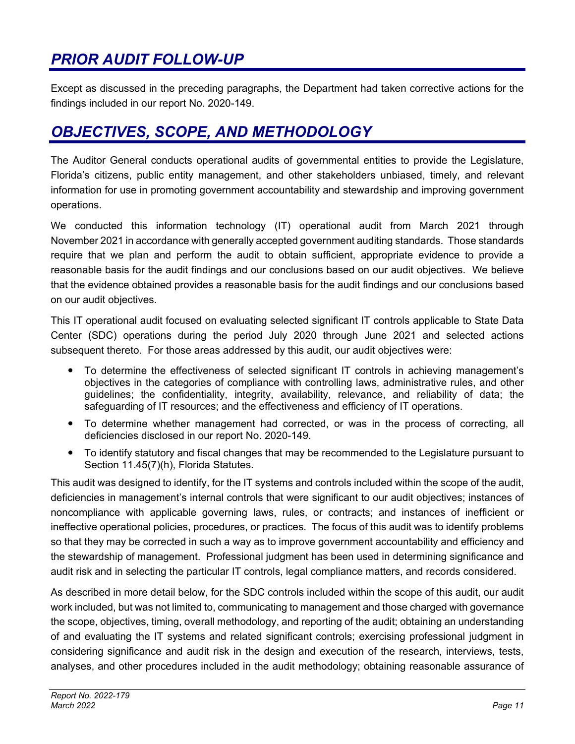## *PRIOR AUDIT FOLLOW-UP*

Except as discussed in the preceding paragraphs, the Department had taken corrective actions for the findings included in our report No. 2020-149.

## *OBJECTIVES, SCOPE, AND METHODOLOGY*

The Auditor General conducts operational audits of governmental entities to provide the Legislature, Florida's citizens, public entity management, and other stakeholders unbiased, timely, and relevant information for use in promoting government accountability and stewardship and improving government operations.

We conducted this information technology (IT) operational audit from March 2021 through November 2021 in accordance with generally accepted government auditing standards. Those standards require that we plan and perform the audit to obtain sufficient, appropriate evidence to provide a reasonable basis for the audit findings and our conclusions based on our audit objectives. We believe that the evidence obtained provides a reasonable basis for the audit findings and our conclusions based on our audit objectives.

This IT operational audit focused on evaluating selected significant IT controls applicable to State Data Center (SDC) operations during the period July 2020 through June 2021 and selected actions subsequent thereto. For those areas addressed by this audit, our audit objectives were:

- To determine the effectiveness of selected significant IT controls in achieving management's objectives in the categories of compliance with controlling laws, administrative rules, and other guidelines; the confidentiality, integrity, availability, relevance, and reliability of data; the safeguarding of IT resources; and the effectiveness and efficiency of IT operations.
- To determine whether management had corrected, or was in the process of correcting, all deficiencies disclosed in our report No. 2020-149.
- To identify statutory and fiscal changes that may be recommended to the Legislature pursuant to Section 11.45(7)(h), Florida Statutes.

This audit was designed to identify, for the IT systems and controls included within the scope of the audit, deficiencies in management's internal controls that were significant to our audit objectives; instances of noncompliance with applicable governing laws, rules, or contracts; and instances of inefficient or ineffective operational policies, procedures, or practices. The focus of this audit was to identify problems so that they may be corrected in such a way as to improve government accountability and efficiency and the stewardship of management. Professional judgment has been used in determining significance and audit risk and in selecting the particular IT controls, legal compliance matters, and records considered.

As described in more detail below, for the SDC controls included within the scope of this audit, our audit work included, but was not limited to, communicating to management and those charged with governance the scope, objectives, timing, overall methodology, and reporting of the audit; obtaining an understanding of and evaluating the IT systems and related significant controls; exercising professional judgment in considering significance and audit risk in the design and execution of the research, interviews, tests, analyses, and other procedures included in the audit methodology; obtaining reasonable assurance of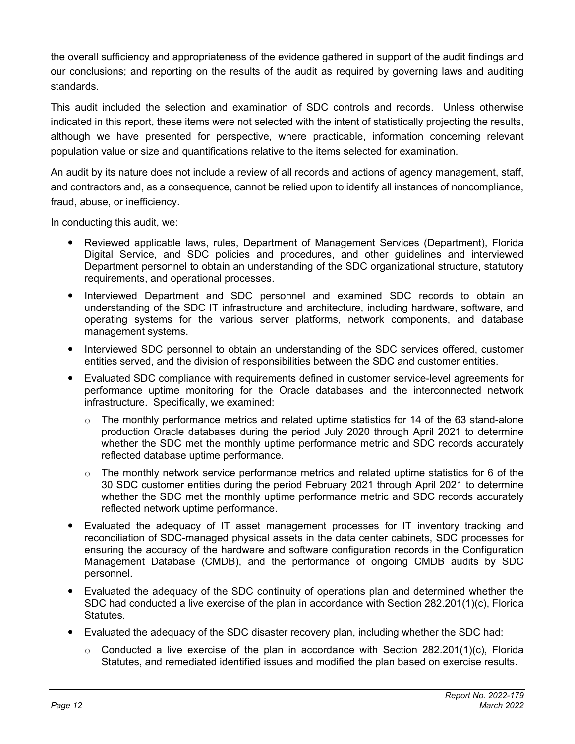the overall sufficiency and appropriateness of the evidence gathered in support of the audit findings and our conclusions; and reporting on the results of the audit as required by governing laws and auditing standards.

This audit included the selection and examination of SDC controls and records. Unless otherwise indicated in this report, these items were not selected with the intent of statistically projecting the results, although we have presented for perspective, where practicable, information concerning relevant population value or size and quantifications relative to the items selected for examination.

An audit by its nature does not include a review of all records and actions of agency management, staff, and contractors and, as a consequence, cannot be relied upon to identify all instances of noncompliance, fraud, abuse, or inefficiency.

In conducting this audit, we:

- Reviewed applicable laws, rules, Department of Management Services (Department), Florida Digital Service, and SDC policies and procedures, and other guidelines and interviewed Department personnel to obtain an understanding of the SDC organizational structure, statutory requirements, and operational processes.
- Interviewed Department and SDC personnel and examined SDC records to obtain an understanding of the SDC IT infrastructure and architecture, including hardware, software, and operating systems for the various server platforms, network components, and database management systems.
- Interviewed SDC personnel to obtain an understanding of the SDC services offered, customer entities served, and the division of responsibilities between the SDC and customer entities.
- Evaluated SDC compliance with requirements defined in customer service-level agreements for performance uptime monitoring for the Oracle databases and the interconnected network infrastructure. Specifically, we examined:
	- $\circ$  The monthly performance metrics and related uptime statistics for 14 of the 63 stand-alone production Oracle databases during the period July 2020 through April 2021 to determine whether the SDC met the monthly uptime performance metric and SDC records accurately reflected database uptime performance.
	- $\circ$  The monthly network service performance metrics and related uptime statistics for 6 of the 30 SDC customer entities during the period February 2021 through April 2021 to determine whether the SDC met the monthly uptime performance metric and SDC records accurately reflected network uptime performance.
- Evaluated the adequacy of IT asset management processes for IT inventory tracking and reconciliation of SDC-managed physical assets in the data center cabinets, SDC processes for ensuring the accuracy of the hardware and software configuration records in the Configuration Management Database (CMDB), and the performance of ongoing CMDB audits by SDC personnel.
- Evaluated the adequacy of the SDC continuity of operations plan and determined whether the SDC had conducted a live exercise of the plan in accordance with Section 282.201(1)(c), Florida Statutes.
- Evaluated the adequacy of the SDC disaster recovery plan, including whether the SDC had:
	- $\circ$  Conducted a live exercise of the plan in accordance with Section 282.201(1)(c), Florida Statutes, and remediated identified issues and modified the plan based on exercise results.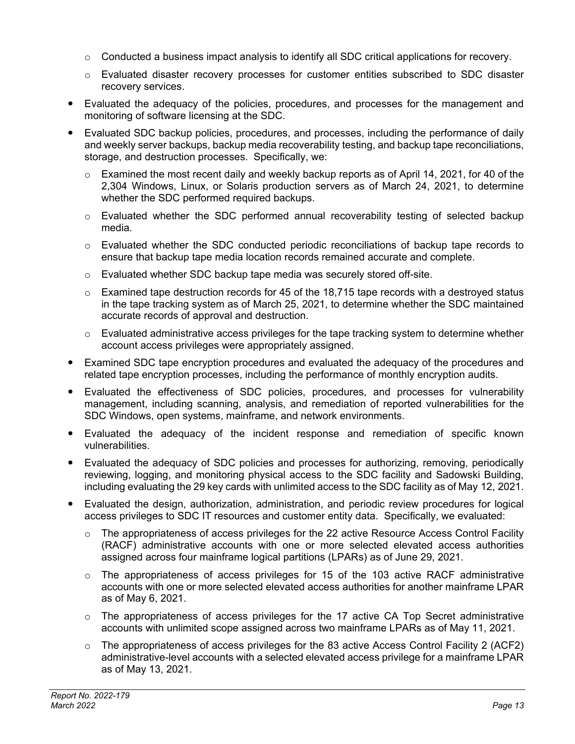- $\circ$  Conducted a business impact analysis to identify all SDC critical applications for recovery.
- $\circ$  Evaluated disaster recovery processes for customer entities subscribed to SDC disaster recovery services.
- Evaluated the adequacy of the policies, procedures, and processes for the management and monitoring of software licensing at the SDC.
- Evaluated SDC backup policies, procedures, and processes, including the performance of daily and weekly server backups, backup media recoverability testing, and backup tape reconciliations, storage, and destruction processes. Specifically, we:
	- $\circ$  Examined the most recent daily and weekly backup reports as of April 14, 2021, for 40 of the 2,304 Windows, Linux, or Solaris production servers as of March 24, 2021, to determine whether the SDC performed required backups.
	- $\circ$  Evaluated whether the SDC performed annual recoverability testing of selected backup media.
	- o Evaluated whether the SDC conducted periodic reconciliations of backup tape records to ensure that backup tape media location records remained accurate and complete.
	- o Evaluated whether SDC backup tape media was securely stored off-site.
	- $\circ$  Examined tape destruction records for 45 of the 18,715 tape records with a destroyed status in the tape tracking system as of March 25, 2021, to determine whether the SDC maintained accurate records of approval and destruction.
	- $\circ$  Evaluated administrative access privileges for the tape tracking system to determine whether account access privileges were appropriately assigned.
- Examined SDC tape encryption procedures and evaluated the adequacy of the procedures and related tape encryption processes, including the performance of monthly encryption audits.
- Evaluated the effectiveness of SDC policies, procedures, and processes for vulnerability management, including scanning, analysis, and remediation of reported vulnerabilities for the SDC Windows, open systems, mainframe, and network environments.
- Evaluated the adequacy of the incident response and remediation of specific known vulnerabilities.
- Evaluated the adequacy of SDC policies and processes for authorizing, removing, periodically reviewing, logging, and monitoring physical access to the SDC facility and Sadowski Building, including evaluating the 29 key cards with unlimited access to the SDC facility as of May 12, 2021.
- Evaluated the design, authorization, administration, and periodic review procedures for logical access privileges to SDC IT resources and customer entity data. Specifically, we evaluated:
	- $\circ$  The appropriateness of access privileges for the 22 active Resource Access Control Facility (RACF) administrative accounts with one or more selected elevated access authorities assigned across four mainframe logical partitions (LPARs) as of June 29, 2021.
	- $\circ$  The appropriateness of access privileges for 15 of the 103 active RACF administrative accounts with one or more selected elevated access authorities for another mainframe LPAR as of May 6, 2021.
	- o The appropriateness of access privileges for the 17 active CA Top Secret administrative accounts with unlimited scope assigned across two mainframe LPARs as of May 11, 2021.
	- $\circ$  The appropriateness of access privileges for the 83 active Access Control Facility 2 (ACF2) administrative-level accounts with a selected elevated access privilege for a mainframe LPAR as of May 13, 2021.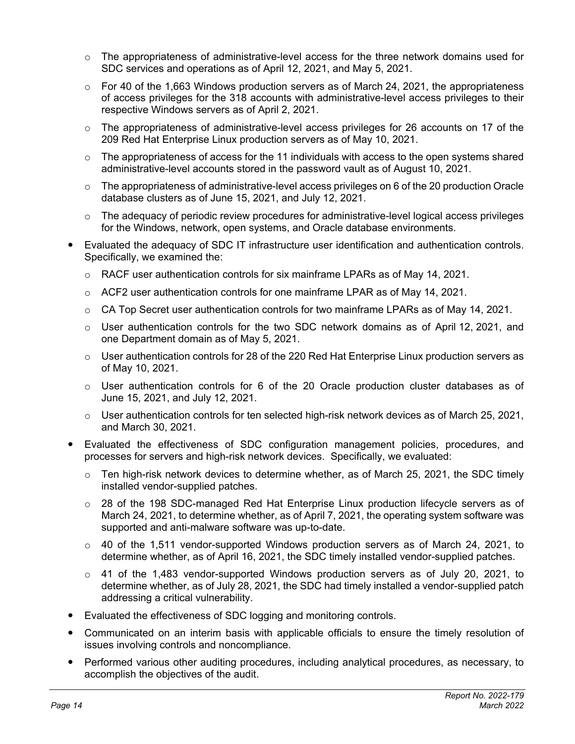- $\circ$  The appropriateness of administrative-level access for the three network domains used for SDC services and operations as of April 12, 2021, and May 5, 2021.
- $\circ$  For 40 of the 1,663 Windows production servers as of March 24, 2021, the appropriateness of access privileges for the 318 accounts with administrative-level access privileges to their respective Windows servers as of April 2, 2021.
- o The appropriateness of administrative-level access privileges for 26 accounts on 17 of the 209 Red Hat Enterprise Linux production servers as of May 10, 2021.
- $\circ$  The appropriateness of access for the 11 individuals with access to the open systems shared administrative-level accounts stored in the password vault as of August 10, 2021.
- $\circ$  The appropriateness of administrative-level access privileges on 6 of the 20 production Oracle database clusters as of June 15, 2021, and July 12, 2021.
- $\circ$  The adequacy of periodic review procedures for administrative-level logical access privileges for the Windows, network, open systems, and Oracle database environments.
- Evaluated the adequacy of SDC IT infrastructure user identification and authentication controls. Specifically, we examined the:
	- $\circ$  RACF user authentication controls for six mainframe LPARs as of May 14, 2021.
	- $\circ$  ACF2 user authentication controls for one mainframe LPAR as of May 14, 2021.
	- $\circ$  CA Top Secret user authentication controls for two mainframe LPARs as of May 14, 2021.
	- $\circ$  User authentication controls for the two SDC network domains as of April 12, 2021, and one Department domain as of May 5, 2021.
	- $\circ$  User authentication controls for 28 of the 220 Red Hat Enterprise Linux production servers as of May 10, 2021.
	- $\circ$  User authentication controls for 6 of the 20 Oracle production cluster databases as of June 15, 2021, and July 12, 2021.
	- $\circ$  User authentication controls for ten selected high-risk network devices as of March 25, 2021, and March 30, 2021.
- Evaluated the effectiveness of SDC configuration management policies, procedures, and processes for servers and high-risk network devices. Specifically, we evaluated:
	- $\circ$  Ten high-risk network devices to determine whether, as of March 25, 2021, the SDC timely installed vendor-supplied patches.
	- $\circ$  28 of the 198 SDC-managed Red Hat Enterprise Linux production lifecycle servers as of March 24, 2021, to determine whether, as of April 7, 2021, the operating system software was supported and anti-malware software was up-to-date.
	- $\circ$  40 of the 1,511 vendor-supported Windows production servers as of March 24, 2021, to determine whether, as of April 16, 2021, the SDC timely installed vendor-supplied patches.
	- $\circ$  41 of the 1,483 vendor-supported Windows production servers as of July 20, 2021, to determine whether, as of July 28, 2021, the SDC had timely installed a vendor-supplied patch addressing a critical vulnerability.
- Evaluated the effectiveness of SDC logging and monitoring controls.
- Communicated on an interim basis with applicable officials to ensure the timely resolution of issues involving controls and noncompliance.
- Performed various other auditing procedures, including analytical procedures, as necessary, to accomplish the objectives of the audit.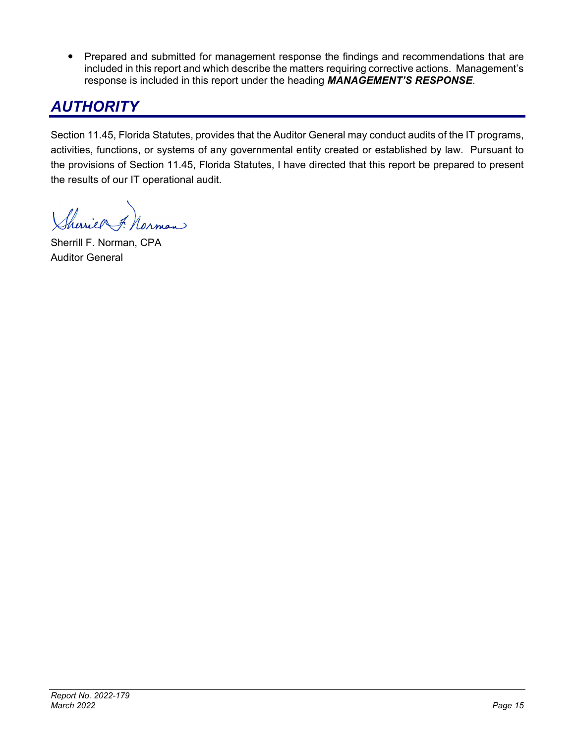• Prepared and submitted for management response the findings and recommendations that are included in this report and which describe the matters requiring corrective actions. Management's response is included in this report under the heading *MANAGEMENT'S RESPONSE*.

## *AUTHORITY*

Section 11.45, Florida Statutes, provides that the Auditor General may conduct audits of the IT programs, activities, functions, or systems of any governmental entity created or established by law. Pursuant to the provisions of Section 11.45, Florida Statutes, I have directed that this report be prepared to present the results of our IT operational audit.

herrief 7.

Sherrill F. Norman, CPA Auditor General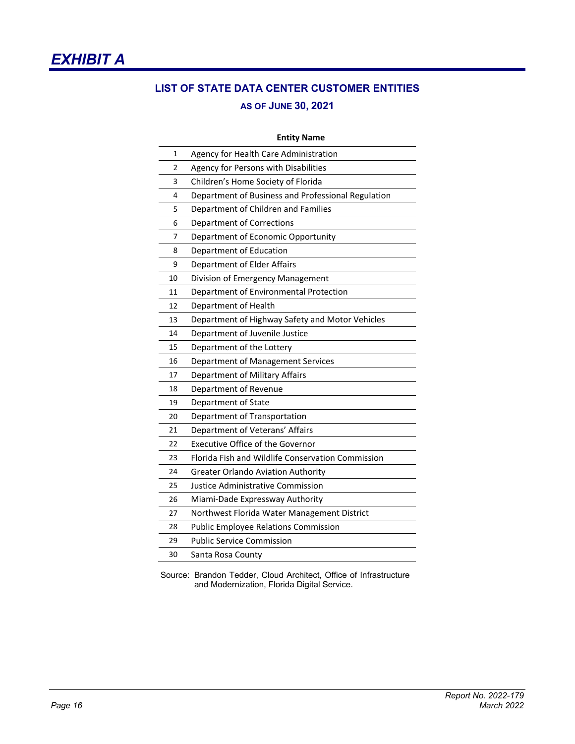

# **LIST OF STATE DATA CENTER CUSTOMER ENTITIES**

## **AS OF JUNE 30, 2021**

|    | <b>Entity Name</b>                                 |
|----|----------------------------------------------------|
| 1  | Agency for Health Care Administration              |
| 2  | Agency for Persons with Disabilities               |
| 3  | Children's Home Society of Florida                 |
| 4  | Department of Business and Professional Regulation |
| 5  | Department of Children and Families                |
| 6  | <b>Department of Corrections</b>                   |
| 7  | Department of Economic Opportunity                 |
| 8  | Department of Education                            |
| 9  | Department of Elder Affairs                        |
| 10 | Division of Emergency Management                   |
| 11 | Department of Environmental Protection             |
| 12 | Department of Health                               |
| 13 | Department of Highway Safety and Motor Vehicles    |
| 14 | Department of Juvenile Justice                     |
| 15 | Department of the Lottery                          |
| 16 | Department of Management Services                  |
| 17 | Department of Military Affairs                     |
| 18 | Department of Revenue                              |
| 19 | Department of State                                |
| 20 | Department of Transportation                       |
| 21 | Department of Veterans' Affairs                    |
| 22 | <b>Executive Office of the Governor</b>            |
| 23 | Florida Fish and Wildlife Conservation Commission  |
| 24 | <b>Greater Orlando Aviation Authority</b>          |
| 25 | Justice Administrative Commission                  |
| 26 | Miami-Dade Expressway Authority                    |
| 27 | Northwest Florida Water Management District        |
| 28 | <b>Public Employee Relations Commission</b>        |
| 29 | <b>Public Service Commission</b>                   |
| 30 | Santa Rosa County                                  |

Source: Brandon Tedder, Cloud Architect, Office of Infrastructure and Modernization, Florida Digital Service.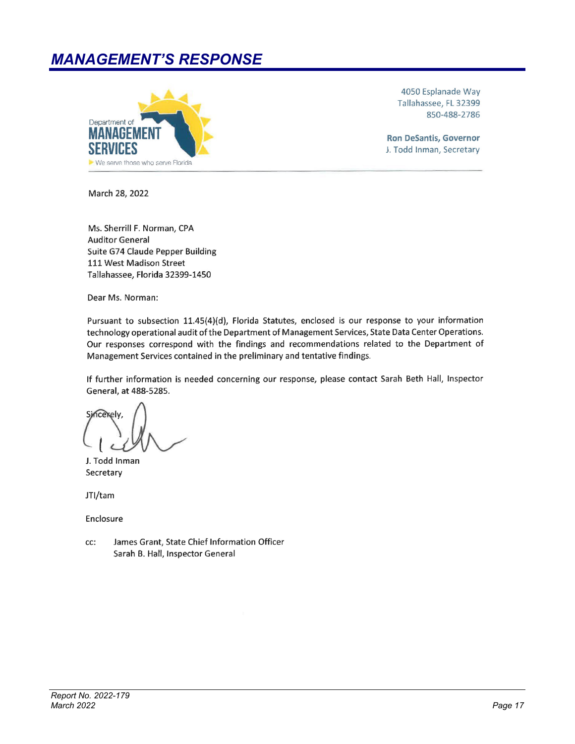## **MANAGEMENT'S RESPONSE**



4050 Esplanade Way Tallahassee, FL 32399 850-488-2786

**Ron DeSantis, Governor** J. Todd Inman, Secretary

March 28, 2022

Ms. Sherrill F. Norman, CPA **Auditor General** Suite G74 Claude Pepper Building 111 West Madison Street Tallahassee, Florida 32399-1450

Dear Ms. Norman:

Pursuant to subsection 11.45(4)(d), Florida Statutes, enclosed is our response to your information technology operational audit of the Department of Management Services, State Data Center Operations. Our responses correspond with the findings and recommendations related to the Department of Management Services contained in the preliminary and tentative findings.

If further information is needed concerning our response, please contact Sarah Beth Hall, Inspector General, at 488-5285.

**Sincerely** 

J. Todd Inman Secretary

JTI/tam

Enclosure

James Grant, State Chief Information Officer cc: Sarah B. Hall, Inspector General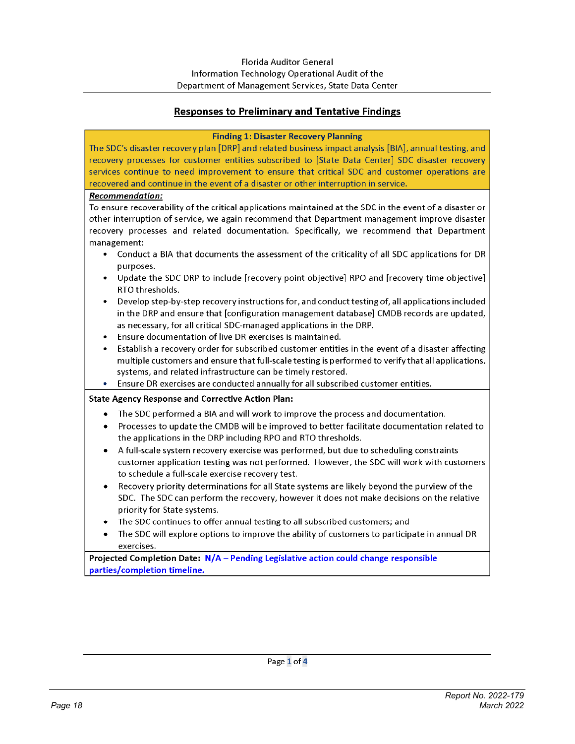## Responses to Preliminary and Tentative Findings

#### **Finding 1: Disaster Recovery Planning**

The SDC's disaster recovery plan [DRP] and related business impact analysis [BIA], annual testing, and recovery processes for customer entities subscribed to [State Data Center] SDC disaster recovery services continue to need improvement to ensure that critical SDC and customer operations are recovered and continue in the event of a disaster or other interruption in service.

#### Recommendation:

To ensure recoverability of the critical applications maintained at the SDC in the event of a disaster or other interruption of service, we again recommend that Department management improve disaster recovery processes and related documentation. Specifically, we recommend that Department management:

- Conduct a BIA that documents the assessment of the criticality of all SDC applications for DR purposes.
- Update the SDC DRP to include [recovery point objective] RPO and [recovery time objective] RTO thresholds.
- Develop step-by-step recovery instructions for, and conduct testing of, all applications included in the DRP and ensure that [configuration management database] CMDB records are updated, as necessary, for all critical SDC-managed applications in the DRP.
- Ensure documentation of live DR exercises is maintained.
- Establish a recovery order for subscribed customer entities in the event of a disaster affecting multiple customers and ensure that full-scale testing is performed to verify that all applications, systems, and related infrastructure can be timely restored.
- Ensure DR exercises are conducted annually for all subscribed customer entities.  $\bullet$

#### **State Agency Response and Corrective Action Plan:**

- The SDC performed a BIA and will work to improve the process and documentation.
- Processes to update the CMDB will be improved to better facilitate documentation related to  $\bullet$ the applications in the DRP including RPO and RTO thresholds.
- $\bullet$ A full-scale system recovery exercise was performed, but due to scheduling constraints customer application testing was not performed. However, the SDC will work with customers to schedule a full-scale exercise recovery test.
- Recovery priority determinations for all State systems are likely beyond the purview of the SDC. The SDC can perform the recovery, however it does not make decisions on the relative priority for State systems.
- The SDC continues to offer annual testing to all subscribed customers; and
- The SDC will explore options to improve the ability of customers to participate in annual DR exercises.

Projected Completion Date: N/A - Pending Legislative action could change responsible parties/completion timeline.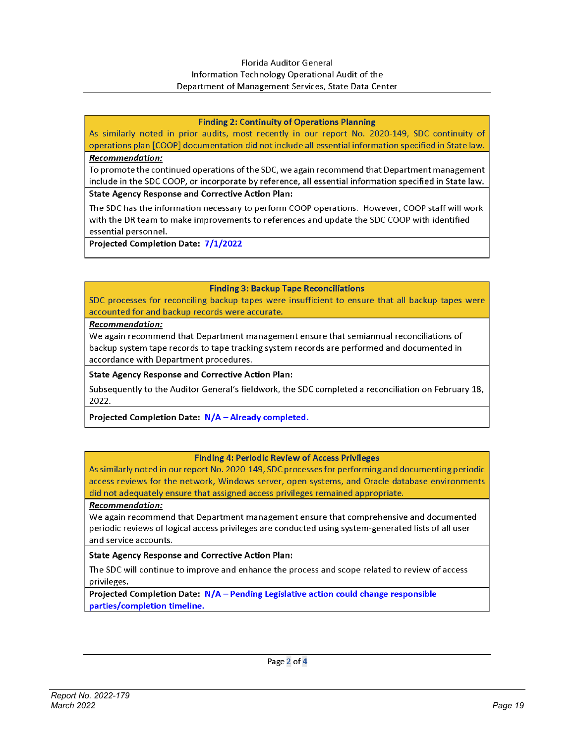#### **Florida Auditor General** Information Technology Operational Audit of the Department of Management Services, State Data Center

#### **Finding 2: Continuity of Operations Planning**

As similarly noted in prior audits, most recently in our report No. 2020-149, SDC continuity of operations plan [COOP] documentation did not include all essential information specified in State law.

#### Recommendation:

To promote the continued operations of the SDC, we again recommend that Department management include in the SDC COOP, or incorporate by reference, all essential information specified in State law.

#### **State Agency Response and Corrective Action Plan:**

The SDC has the information necessary to perform COOP operations. However, COOP staff will work with the DR team to make improvements to references and update the SDC COOP with identified essential personnel.

Projected Completion Date: 7/1/2022

#### **Finding 3: Backup Tape Reconciliations**

SDC processes for reconciling backup tapes were insufficient to ensure that all backup tapes were accounted for and backup records were accurate.

#### Recommendation:

We again recommend that Department management ensure that semiannual reconciliations of backup system tape records to tape tracking system records are performed and documented in accordance with Department procedures.

#### **State Agency Response and Corrective Action Plan:**

Subsequently to the Auditor General's fieldwork, the SDC completed a reconciliation on February 18, 2022.

#### Projected Completion Date: N/A - Already completed.

#### **Finding 4: Periodic Review of Access Privileges**

As similarly noted in our report No. 2020-149, SDC processes for performing and documenting periodic access reviews for the network, Windows server, open systems, and Oracle database environments did not adequately ensure that assigned access privileges remained appropriate.

#### Recommendation:

We again recommend that Department management ensure that comprehensive and documented periodic reviews of logical access privileges are conducted using system-generated lists of all user and service accounts.

#### **State Agency Response and Corrective Action Plan:**

The SDC will continue to improve and enhance the process and scope related to review of access privileges.

Projected Completion Date: N/A - Pending Legislative action could change responsible parties/completion timeline.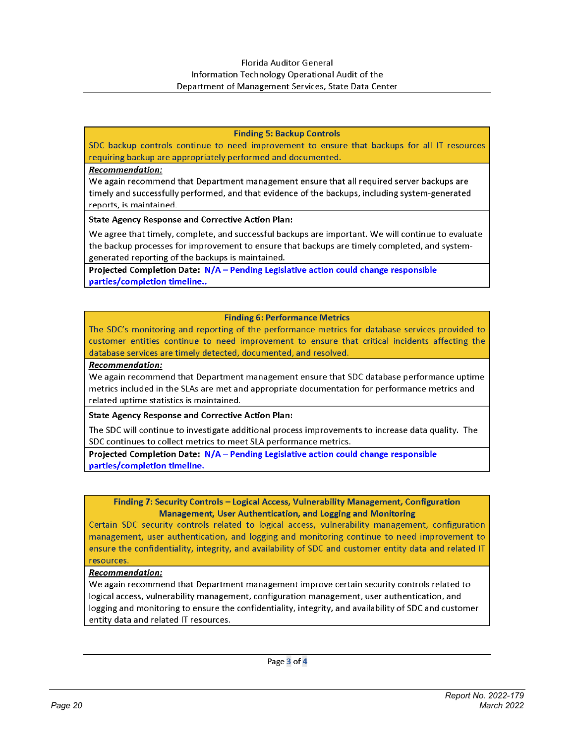#### **Finding 5: Backup Controls**

SDC backup controls continue to need improvement to ensure that backups for all IT resources requiring backup are appropriately performed and documented.

#### **Recommendation:**

We again recommend that Department management ensure that all required server backups are timely and successfully performed, and that evidence of the backups, including system-generated reports, is maintained.

**State Agency Response and Corrective Action Plan:** 

We agree that timely, complete, and successful backups are important. We will continue to evaluate the backup processes for improvement to ensure that backups are timely completed, and systemgenerated reporting of the backups is maintained.

Projected Completion Date: N/A - Pending Legislative action could change responsible parties/completion timeline..

#### **Finding 6: Performance Metrics**

The SDC's monitoring and reporting of the performance metrics for database services provided to customer entities continue to need improvement to ensure that critical incidents affecting the database services are timely detected, documented, and resolved.

#### Recommendation:

We again recommend that Department management ensure that SDC database performance uptime metrics included in the SLAs are met and appropriate documentation for performance metrics and related uptime statistics is maintained.

**State Agency Response and Corrective Action Plan:** 

The SDC will continue to investigate additional process improvements to increase data quality. The SDC continues to collect metrics to meet SLA performance metrics.

Projected Completion Date: N/A - Pending Legislative action could change responsible parties/completion timeline.

Finding 7: Security Controls - Logical Access, Vulnerability Management, Configuration **Management, User Authentication, and Logging and Monitoring** 

Certain SDC security controls related to logical access, vulnerability management, configuration management, user authentication, and logging and monitoring continue to need improvement to ensure the confidentiality, integrity, and availability of SDC and customer entity data and related IT resources.

#### **Recommendation:**

We again recommend that Department management improve certain security controls related to logical access, vulnerability management, configuration management, user authentication, and logging and monitoring to ensure the confidentiality, integrity, and availability of SDC and customer entity data and related IT resources.